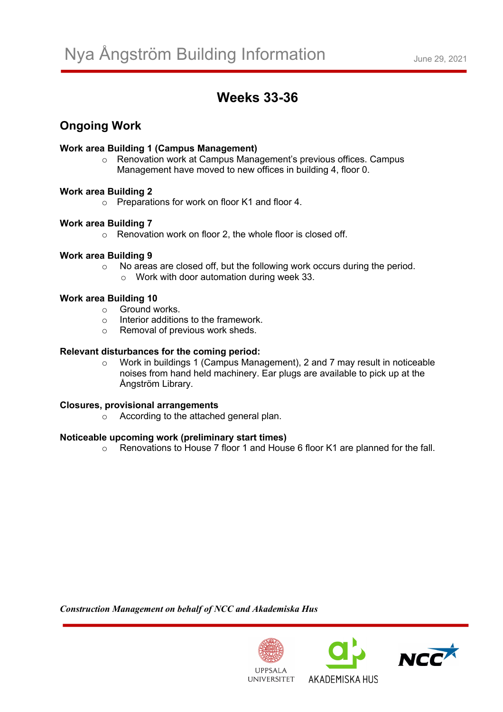# **Weeks 33-36**

## **Ongoing Work**

#### **Work area Building 1 (Campus Management)**

o Renovation work at Campus Management's previous offices. Campus Management have moved to new offices in building 4, floor 0.

#### **Work area Building 2**

o Preparations for work on floor K1 and floor 4.

#### **Work area Building 7**

o Renovation work on floor 2, the whole floor is closed off.

#### **Work area Building 9**

o No areas are closed off, but the following work occurs during the period.  $\circ$  Work with door automation during week 33.

### **Work area Building 10**

- o Ground works.
- o Interior additions to the framework.
- o Removal of previous work sheds.

#### **Relevant disturbances for the coming period:**

o Work in buildings 1 (Campus Management), 2 and 7 may result in noticeable noises from hand held machinery. Ear plugs are available to pick up at the Ångström Library.

#### **Closures, provisional arrangements**

o According to the attached general plan.

#### **Noticeable upcoming work (preliminary start times)**

o Renovations to House 7 floor 1 and House 6 floor K1 are planned for the fall.

*Construction Management on behalf of NCC and Akademiska Hus*







**UNIVERSITET**